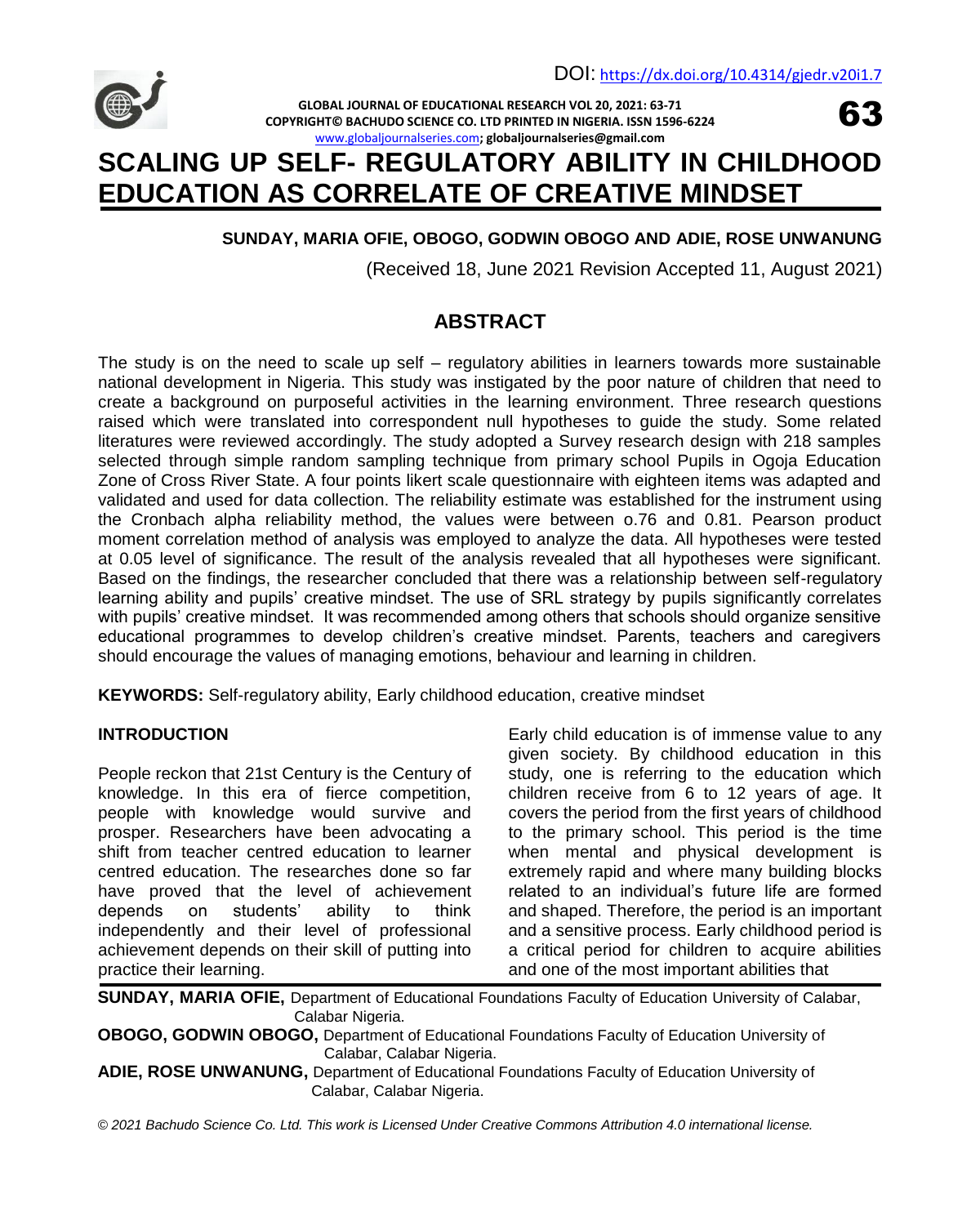63



**GLOBAL JOURNAL OF EDUCATIONAL RESEARCH VOL 20, 2021: 63-71 COPYRIGHT© BACHUDO SCIENCE CO. LTD PRINTED IN NIGERIA. ISSN 1596-6224** [www.globaljournalseries.com](http://www.globaljournalseries.com/)**; globaljournalseries@gmail.com**

# **SCALING UP SELF- REGULATORY ABILITY IN CHILDHOOD EDUCATION AS CORRELATE OF CREATIVE MINDSET**

# **SUNDAY, MARIA OFIE, OBOGO, GODWIN OBOGO AND ADIE, ROSE UNWANUNG**

(Received 18, June 2021 Revision Accepted 11, August 2021)

# **ABSTRACT**

The study is on the need to scale up self – regulatory abilities in learners towards more sustainable national development in Nigeria. This study was instigated by the poor nature of children that need to create a background on purposeful activities in the learning environment. Three research questions raised which were translated into correspondent null hypotheses to guide the study. Some related literatures were reviewed accordingly. The study adopted a Survey research design with 218 samples selected through simple random sampling technique from primary school Pupils in Ogoja Education Zone of Cross River State. A four points likert scale questionnaire with eighteen items was adapted and validated and used for data collection. The reliability estimate was established for the instrument using the Cronbach alpha reliability method, the values were between o.76 and 0.81. Pearson product moment correlation method of analysis was employed to analyze the data. All hypotheses were tested at 0.05 level of significance. The result of the analysis revealed that all hypotheses were significant. Based on the findings, the researcher concluded that there was a relationship between self-regulatory learning ability and pupils' creative mindset. The use of SRL strategy by pupils significantly correlates with pupils' creative mindset. It was recommended among others that schools should organize sensitive educational programmes to develop children's creative mindset. Parents, teachers and caregivers should encourage the values of managing emotions, behaviour and learning in children.

**KEYWORDS:** Self-regulatory ability, Early childhood education, creative mindset

# **INTRODUCTION**

People reckon that 21st Century is the Century of knowledge. In this era of fierce competition, people with knowledge would survive and prosper. Researchers have been advocating a shift from teacher centred education to learner centred education. The researches done so far have proved that the level of achievement depends on students' ability to think independently and their level of professional achievement depends on their skill of putting into practice their learning.

Early child education is of immense value to any given society. By childhood education in this study, one is referring to the education which children receive from 6 to 12 years of age. It covers the period from the first years of childhood to the primary school. This period is the time when mental and physical development is extremely rapid and where many building blocks related to an individual's future life are formed and shaped. Therefore, the period is an important and a sensitive process. Early childhood period is a critical period for children to acquire abilities and one of the most important abilities that

**SUNDAY, MARIA OFIE,** Department of Educational Foundations Faculty of Education University of Calabar, Calabar Nigeria.

**OBOGO, GODWIN OBOGO,** Department of Educational Foundations Faculty of Education University of Calabar, Calabar Nigeria.

**ADIE, ROSE UNWANUNG,** Department of Educational Foundations Faculty of Education University of Calabar, Calabar Nigeria.

*© 2021 Bachudo Science Co. Ltd. This work is Licensed Under Creative Commons Attribution 4.0 international license.*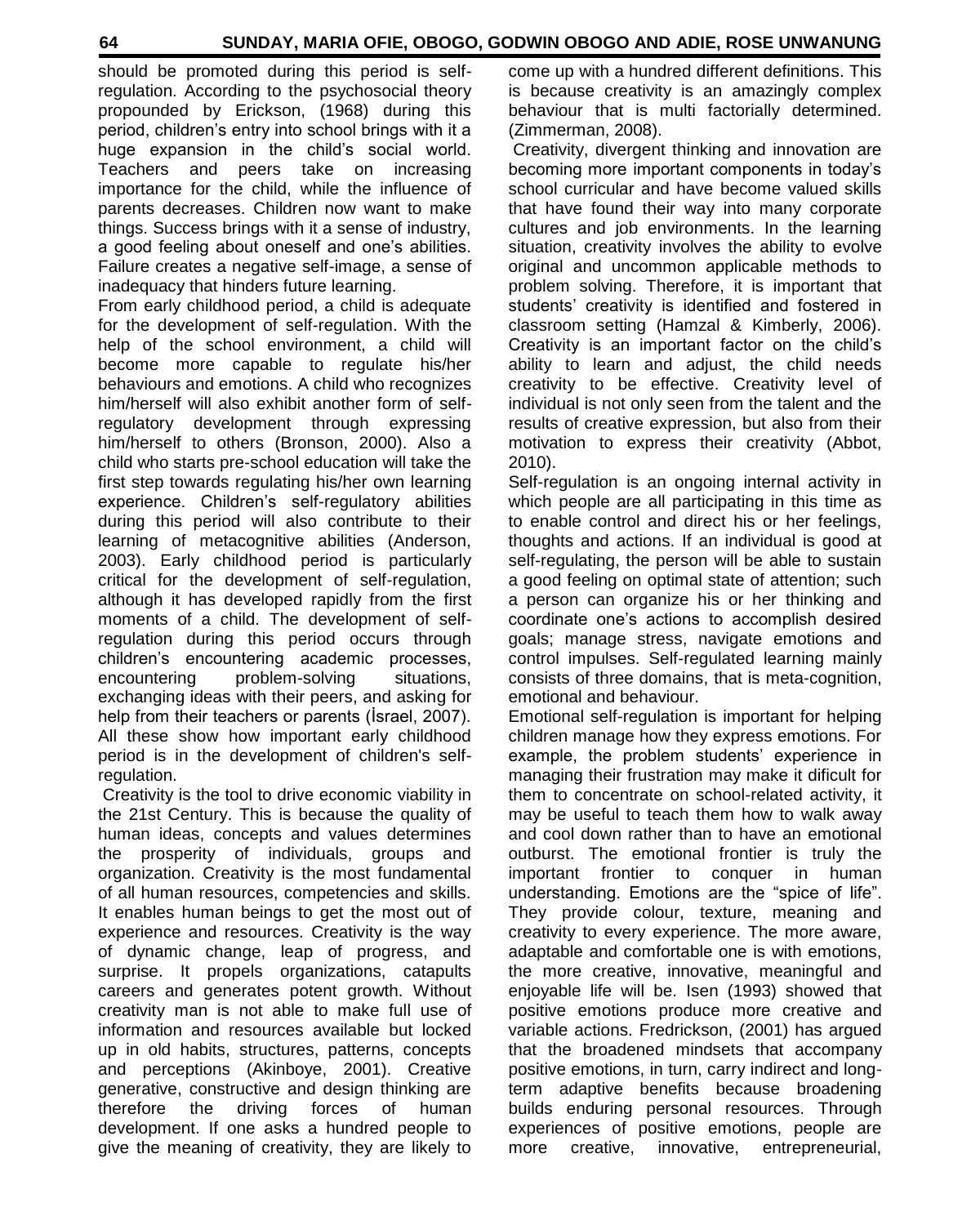should be promoted during this period is selfregulation. According to the psychosocial theory propounded by Erickson, (1968) during this period, children's entry into school brings with it a huge expansion in the child's social world. Teachers and peers take on increasing importance for the child, while the influence of parents decreases. Children now want to make things. Success brings with it a sense of industry, a good feeling about oneself and one's abilities. Failure creates a negative self-image, a sense of inadequacy that hinders future learning.

From early childhood period, a child is adequate for the development of self-regulation. With the help of the school environment, a child will become more capable to regulate his/her behaviours and emotions. A child who recognizes him/herself will also exhibit another form of selfregulatory development through expressing him/herself to others (Bronson, 2000). Also a child who starts pre-school education will take the first step towards regulating his/her own learning experience. Children's self-regulatory abilities during this period will also contribute to their learning of metacognitive abilities (Anderson, 2003). Early childhood period is particularly critical for the development of self-regulation, although it has developed rapidly from the first moments of a child. The development of selfregulation during this period occurs through children's encountering academic processes, encountering problem-solving situations, exchanging ideas with their peers, and asking for help from their teachers or parents (İsrael, 2007). All these show how important early childhood period is in the development of children's selfregulation.

Creativity is the tool to drive economic viability in the 21st Century. This is because the quality of human ideas, concepts and values determines the prosperity of individuals, groups and organization. Creativity is the most fundamental of all human resources, competencies and skills. It enables human beings to get the most out of experience and resources. Creativity is the way of dynamic change, leap of progress, and surprise. It propels organizations, catapults careers and generates potent growth. Without creativity man is not able to make full use of information and resources available but locked up in old habits, structures, patterns, concepts and perceptions (Akinboye, 2001). Creative generative, constructive and design thinking are therefore the driving forces of human development. If one asks a hundred people to give the meaning of creativity, they are likely to come up with a hundred different definitions. This is because creativity is an amazingly complex behaviour that is multi factorially determined. (Zimmerman, 2008).

Creativity, divergent thinking and innovation are becoming more important components in today's school curricular and have become valued skills that have found their way into many corporate cultures and job environments. In the learning situation, creativity involves the ability to evolve original and uncommon applicable methods to problem solving. Therefore, it is important that students' creativity is identified and fostered in classroom setting (Hamzal & Kimberly, 2006). Creativity is an important factor on the child's ability to learn and adjust, the child needs creativity to be effective. Creativity level of individual is not only seen from the talent and the results of creative expression, but also from their motivation to express their creativity (Abbot, 2010).

Self-regulation is an ongoing internal activity in which people are all participating in this time as to enable control and direct his or her feelings, thoughts and actions. If an individual is good at self-regulating, the person will be able to sustain a good feeling on optimal state of attention; such a person can organize his or her thinking and coordinate one's actions to accomplish desired goals; manage stress, navigate emotions and control impulses. Self-regulated learning mainly consists of three domains, that is meta-cognition, emotional and behaviour.

Emotional self-regulation is important for helping children manage how they express emotions. For example, the problem students' experience in managing their frustration may make it dificult for them to concentrate on school-related activity, it may be useful to teach them how to walk away and cool down rather than to have an emotional outburst. The emotional frontier is truly the important frontier to conquer in human understanding. Emotions are the "spice of life". They provide colour, texture, meaning and creativity to every experience. The more aware, adaptable and comfortable one is with emotions, the more creative, innovative, meaningful and enjoyable life will be. Isen (1993) showed that positive emotions produce more creative and variable actions. Fredrickson, (2001) has argued that the broadened mindsets that accompany positive emotions, in turn, carry indirect and longterm adaptive benefits because broadening builds enduring personal resources. Through experiences of positive emotions, people are more creative, innovative, entrepreneurial,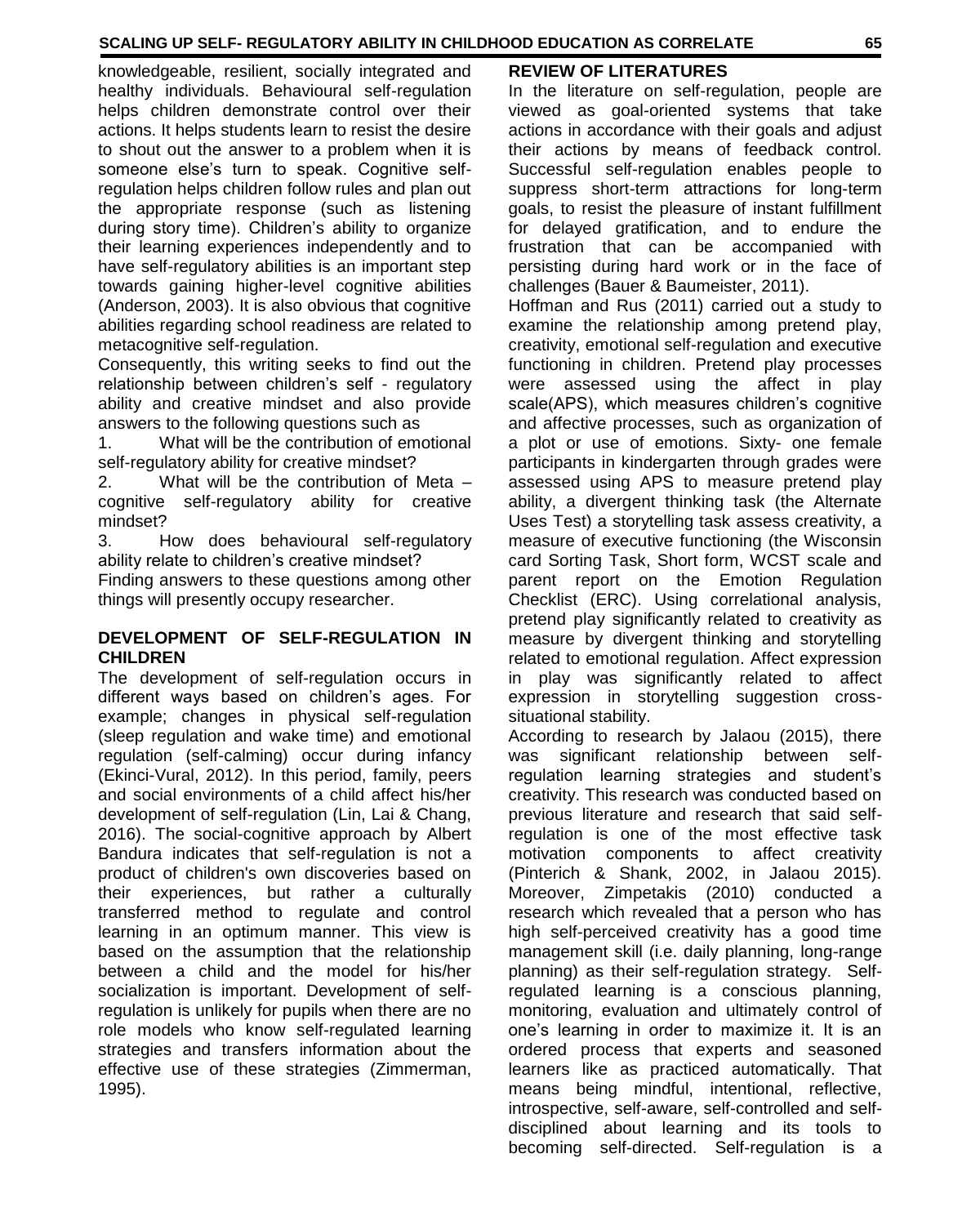knowledgeable, resilient, socially integrated and healthy individuals. Behavioural self-regulation helps children demonstrate control over their actions. It helps students learn to resist the desire to shout out the answer to a problem when it is someone else's turn to speak. Cognitive selfregulation helps children follow rules and plan out the appropriate response (such as listening during story time). Children's ability to organize their learning experiences independently and to have self-regulatory abilities is an important step towards gaining higher-level cognitive abilities (Anderson, 2003). It is also obvious that cognitive abilities regarding school readiness are related to metacognitive self-regulation.

Consequently, this writing seeks to find out the relationship between children's self - regulatory ability and creative mindset and also provide answers to the following questions such as

1. What will be the contribution of emotional self-regulatory ability for creative mindset?

2. What will be the contribution of Meta – cognitive self-regulatory ability for creative mindset?

3. How does behavioural self-regulatory ability relate to children's creative mindset?

Finding answers to these questions among other things will presently occupy researcher.

#### **DEVELOPMENT OF SELF-REGULATION IN CHILDREN**

The development of self-regulation occurs in different ways based on children's ages. For example; changes in physical self-regulation (sleep regulation and wake time) and emotional regulation (self-calming) occur during infancy (Ekinci-Vural, 2012). In this period, family, peers and social environments of a child affect his/her development of self-regulation (Lin, Lai & Chang, 2016). The social-cognitive approach by Albert Bandura indicates that self-regulation is not a product of children's own discoveries based on their experiences, but rather a culturally transferred method to regulate and control learning in an optimum manner. This view is based on the assumption that the relationship between a child and the model for his/her socialization is important. Development of selfregulation is unlikely for pupils when there are no role models who know self-regulated learning strategies and transfers information about the effective use of these strategies (Zimmerman, 1995).

# **REVIEW OF LITERATURES**

In the literature on self-regulation, people are viewed as goal-oriented systems that take actions in accordance with their goals and adjust their actions by means of feedback control. Successful self-regulation enables people to suppress short-term attractions for long-term goals, to resist the pleasure of instant fulfillment for delayed gratification, and to endure the frustration that can be accompanied with persisting during hard work or in the face of challenges (Bauer & Baumeister, 2011).

Hoffman and Rus (2011) carried out a study to examine the relationship among pretend play, creativity, emotional self-regulation and executive functioning in children. Pretend play processes were assessed using the affect in play scale(APS), which measures children's cognitive and affective processes, such as organization of a plot or use of emotions. Sixty- one female participants in kindergarten through grades were assessed using APS to measure pretend play ability, a divergent thinking task (the Alternate Uses Test) a storytelling task assess creativity, a measure of executive functioning (the Wisconsin card Sorting Task, Short form, WCST scale and parent report on the Emotion Regulation Checklist (ERC). Using correlational analysis, pretend play significantly related to creativity as measure by divergent thinking and storytelling related to emotional regulation. Affect expression in play was significantly related to affect expression in storytelling suggestion crosssituational stability.

According to research by Jalaou (2015), there was significant relationship between selfregulation learning strategies and student's creativity. This research was conducted based on previous literature and research that said selfregulation is one of the most effective task motivation components to affect creativity (Pinterich & Shank, 2002, in Jalaou 2015). Moreover, Zimpetakis (2010) conducted a research which revealed that a person who has high self-perceived creativity has a good time management skill (i.e. daily planning, long-range planning) as their self-regulation strategy. Selfregulated learning is a conscious planning, monitoring, evaluation and ultimately control of one's learning in order to maximize it. It is an ordered process that experts and seasoned learners like as practiced automatically. That means being mindful, intentional, reflective, introspective, self-aware, self-controlled and selfdisciplined about learning and its tools to becoming self-directed. Self-regulation is a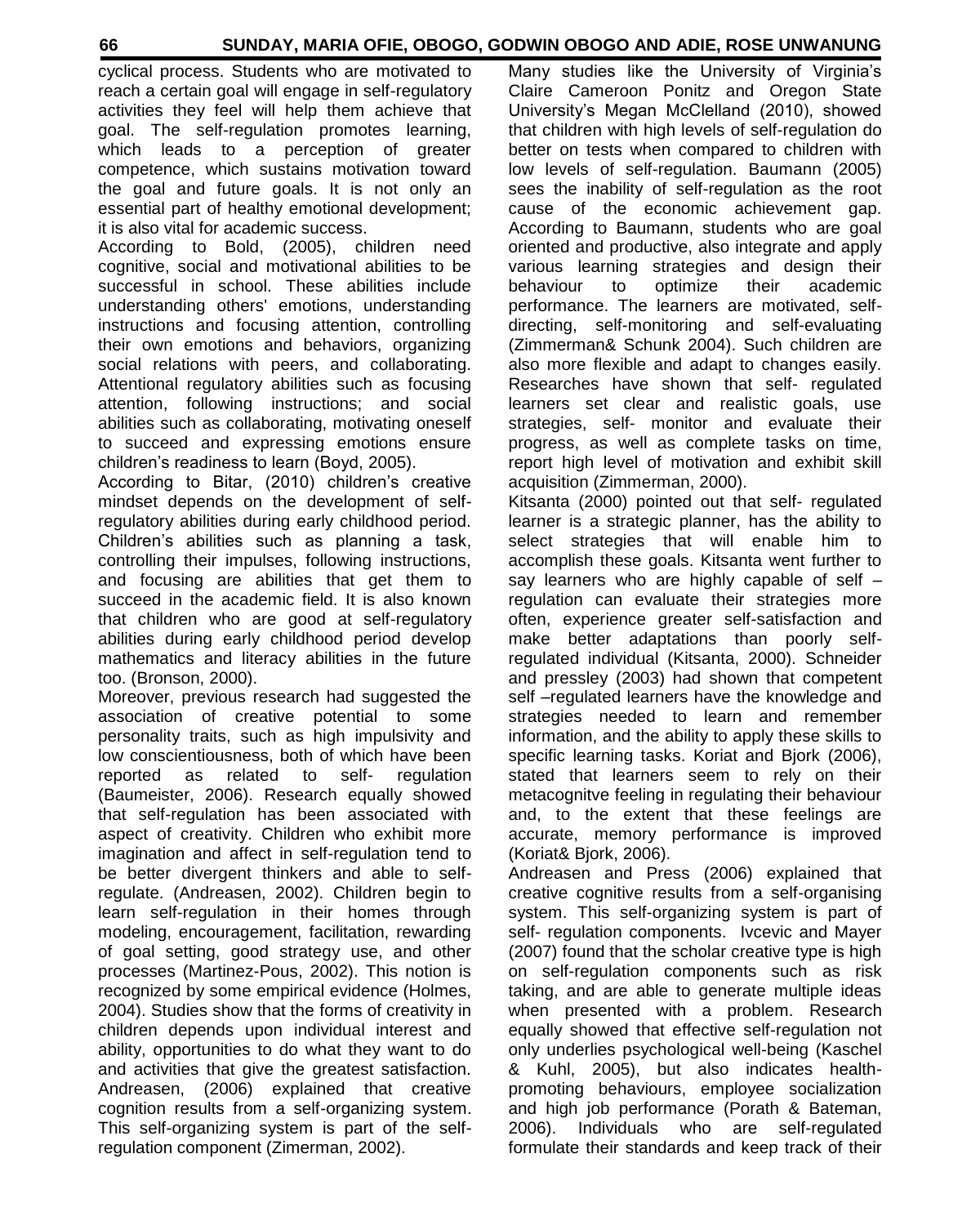cyclical process. Students who are motivated to reach a certain goal will engage in self-regulatory activities they feel will help them achieve that goal. The self-regulation promotes learning, which leads to a perception of greater competence, which sustains motivation toward the goal and future goals. It is not only an essential part of healthy emotional development; it is also vital for academic success.

According to Bold, (2005), children need cognitive, social and motivational abilities to be successful in school. These abilities include understanding others' emotions, understanding instructions and focusing attention, controlling their own emotions and behaviors, organizing social relations with peers, and collaborating. Attentional regulatory abilities such as focusing attention, following instructions; and social abilities such as collaborating, motivating oneself to succeed and expressing emotions ensure children's readiness to learn (Boyd, 2005).

According to Bitar, (2010) children's creative mindset depends on the development of selfregulatory abilities during early childhood period. Children's abilities such as planning a task, controlling their impulses, following instructions, and focusing are abilities that get them to succeed in the academic field. It is also known that children who are good at self-regulatory abilities during early childhood period develop mathematics and literacy abilities in the future too. (Bronson, 2000).

Moreover, previous research had suggested the association of creative potential to some personality traits, such as high impulsivity and low conscientiousness, both of which have been reported as related to self- regulation (Baumeister, 2006). Research equally showed that self-regulation has been associated with aspect of creativity. Children who exhibit more imagination and affect in self-regulation tend to be better divergent thinkers and able to selfregulate. (Andreasen, 2002). Children begin to learn self-regulation in their homes through modeling, encouragement, facilitation, rewarding of goal setting, good strategy use, and other processes (Martinez-Pous, 2002). This notion is recognized by some empirical evidence (Holmes, 2004). Studies show that the forms of creativity in children depends upon individual interest and ability, opportunities to do what they want to do and activities that give the greatest satisfaction. Andreasen, (2006) explained that creative cognition results from a self-organizing system. This self-organizing system is part of the selfregulation component (Zimerman, 2002).

Many studies like the University of Virginia's Claire Cameroon Ponitz and Oregon State University's Megan McClelland (2010), showed that children with high levels of self-regulation do better on tests when compared to children with low levels of self-regulation. Baumann (2005) sees the inability of self-regulation as the root cause of the economic achievement gap. According to Baumann, students who are goal oriented and productive, also integrate and apply various learning strategies and design their behaviour to optimize their academic performance. The learners are motivated, selfdirecting, self-monitoring and self-evaluating (Zimmerman& Schunk 2004). Such children are also more flexible and adapt to changes easily. Researches have shown that self- regulated learners set clear and realistic goals, use strategies, self- monitor and evaluate their progress, as well as complete tasks on time, report high level of motivation and exhibit skill acquisition (Zimmerman, 2000).

Kitsanta (2000) pointed out that self- regulated learner is a strategic planner, has the ability to select strategies that will enable him to accomplish these goals. Kitsanta went further to say learners who are highly capable of self – regulation can evaluate their strategies more often, experience greater self-satisfaction and make better adaptations than poorly selfregulated individual (Kitsanta, 2000). Schneider and pressley (2003) had shown that competent self –regulated learners have the knowledge and strategies needed to learn and remember information, and the ability to apply these skills to specific learning tasks. Koriat and Bjork (2006), stated that learners seem to rely on their metacognitve feeling in regulating their behaviour and, to the extent that these feelings are accurate, memory performance is improved (Koriat& Bjork, 2006).

Andreasen and Press (2006) explained that creative cognitive results from a self-organising system. This self-organizing system is part of self- regulation components. Ivcevic and Mayer (2007) found that the scholar creative type is high on self-regulation components such as risk taking, and are able to generate multiple ideas when presented with a problem. Research equally showed that effective self-regulation not only underlies psychological well-being (Kaschel & Kuhl, 2005), but also indicates healthpromoting behaviours, employee socialization and high job performance (Porath & Bateman, 2006). Individuals who are self-regulated formulate their standards and keep track of their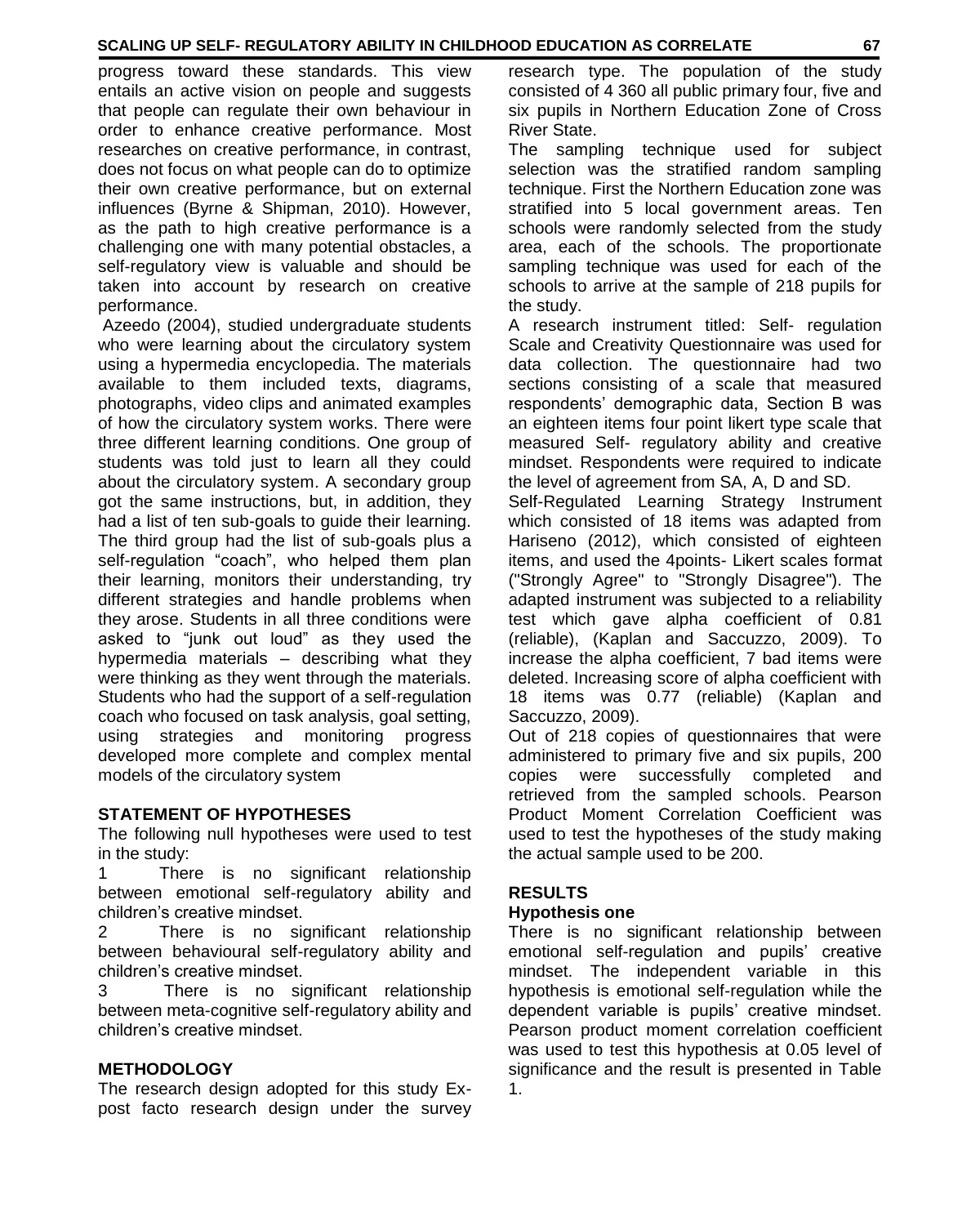progress toward these standards. This view entails an active vision on people and suggests that people can regulate their own behaviour in order to enhance creative performance. Most researches on creative performance, in contrast, does not focus on what people can do to optimize their own creative performance, but on external influences (Byrne & Shipman, 2010). However, as the path to high creative performance is a challenging one with many potential obstacles, a self-regulatory view is valuable and should be taken into account by research on creative performance.

Azeedo (2004), studied undergraduate students who were learning about the circulatory system using a hypermedia encyclopedia. The materials available to them included texts, diagrams, photographs, video clips and animated examples of how the circulatory system works. There were three different learning conditions. One group of students was told just to learn all they could about the circulatory system. A secondary group got the same instructions, but, in addition, they had a list of ten sub-goals to guide their learning. The third group had the list of sub-goals plus a self-regulation "coach", who helped them plan their learning, monitors their understanding, try different strategies and handle problems when they arose. Students in all three conditions were asked to "junk out loud" as they used the hypermedia materials – describing what they were thinking as they went through the materials. Students who had the support of a self-regulation coach who focused on task analysis, goal setting, using strategies and monitoring progress developed more complete and complex mental models of the circulatory system

# **STATEMENT OF HYPOTHESES**

The following null hypotheses were used to test in the study:

1 There is no significant relationship between emotional self-regulatory ability and children's creative mindset.

2 There is no significant relationship between behavioural self-regulatory ability and children's creative mindset.

3 There is no significant relationship between meta-cognitive self-regulatory ability and children's creative mindset.

# **METHODOLOGY**

The research design adopted for this study Expost facto research design under the survey

research type. The population of the study consisted of 4 360 all public primary four, five and six pupils in Northern Education Zone of Cross River State.

The sampling technique used for subject selection was the stratified random sampling technique. First the Northern Education zone was stratified into 5 local government areas. Ten schools were randomly selected from the study area, each of the schools. The proportionate sampling technique was used for each of the schools to arrive at the sample of 218 pupils for the study.

A research instrument titled: Self- regulation Scale and Creativity Questionnaire was used for data collection. The questionnaire had two sections consisting of a scale that measured respondents' demographic data, Section B was an eighteen items four point likert type scale that measured Self- regulatory ability and creative mindset. Respondents were required to indicate the level of agreement from SA, A, D and SD.

Self-Regulated Learning Strategy Instrument which consisted of 18 items was adapted from Hariseno (2012), which consisted of eighteen items, and used the 4points- Likert scales format ("Strongly Agree" to "Strongly Disagree"). The adapted instrument was subjected to a reliability test which gave alpha coefficient of 0.81 (reliable), (Kaplan and Saccuzzo, 2009). To increase the alpha coefficient, 7 bad items were deleted. Increasing score of alpha coefficient with 18 items was 0.77 (reliable) (Kaplan and Saccuzzo, 2009).

Out of 218 copies of questionnaires that were administered to primary five and six pupils, 200 copies were successfully completed and retrieved from the sampled schools. Pearson Product Moment Correlation Coefficient was used to test the hypotheses of the study making the actual sample used to be 200.

# **RESULTS**

# **Hypothesis one**

There is no significant relationship between emotional self-regulation and pupils' creative mindset. The independent variable in this hypothesis is emotional self-regulation while the dependent variable is pupils' creative mindset. Pearson product moment correlation coefficient was used to test this hypothesis at 0.05 level of significance and the result is presented in Table 1.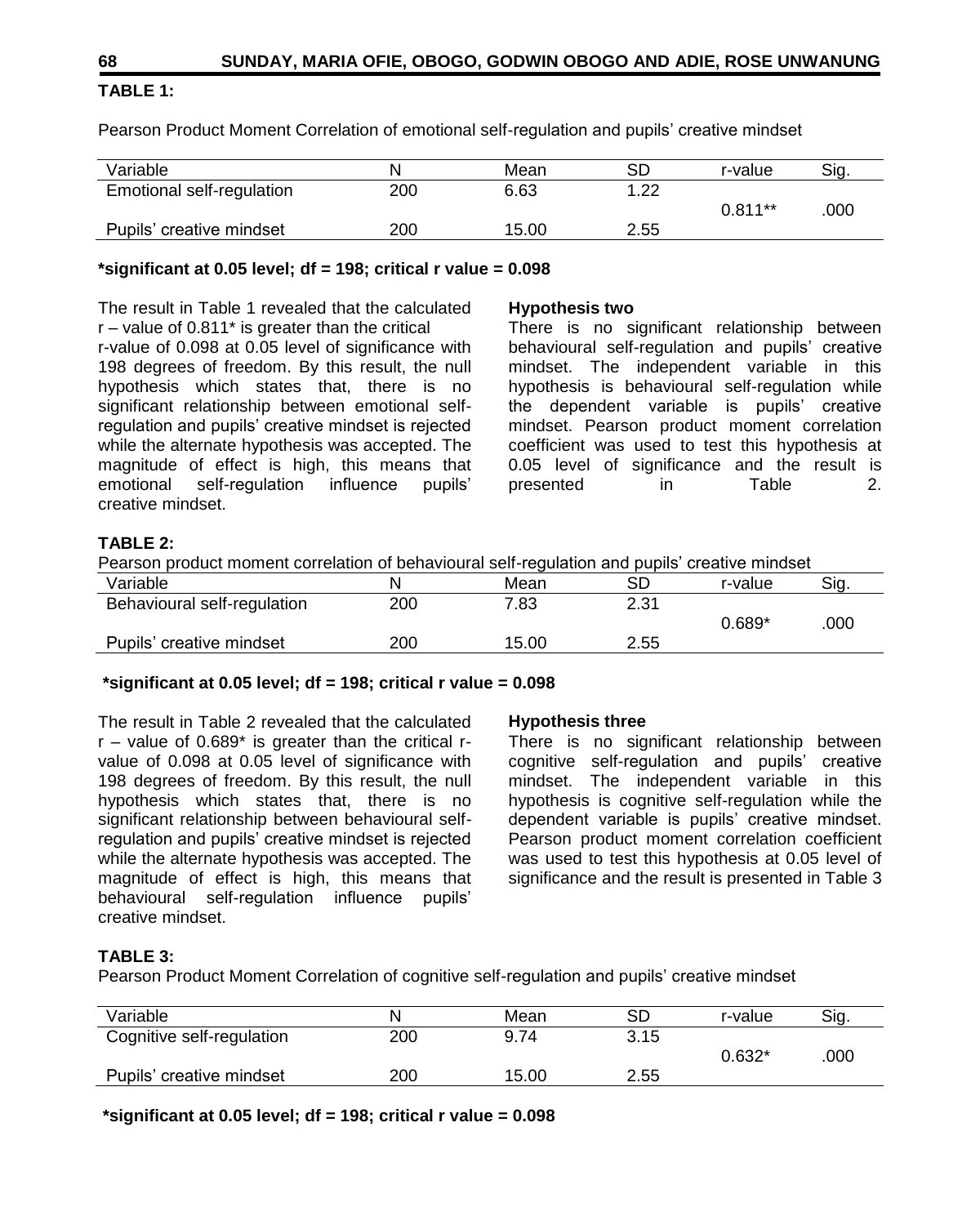# **TABLE 1:**

Pearson Product Moment Correlation of emotional self-regulation and pupils' creative mindset

| Variable                  | N   | Mean  | SD   | r-value   | Sig. |
|---------------------------|-----|-------|------|-----------|------|
| Emotional self-regulation | 200 | 6.63  | 1.22 |           |      |
|                           |     |       |      | $0.811**$ | .000 |
| Pupils' creative mindset  | 200 | 15.00 | 2.55 |           |      |

#### **\*significant at 0.05 level; df = 198; critical r value = 0.098**

The result in Table 1 revealed that the calculated  $r -$  value of 0.811 $*$  is greater than the critical

r-value of 0.098 at 0.05 level of significance with 198 degrees of freedom. By this result, the null hypothesis which states that, there is no significant relationship between emotional selfregulation and pupils' creative mindset is rejected while the alternate hypothesis was accepted. The magnitude of effect is high, this means that emotional self-regulation influence pupils' creative mindset.

#### **Hypothesis two**

There is no significant relationship between behavioural self-regulation and pupils' creative mindset. The independent variable in this hypothesis is behavioural self-regulation while the dependent variable is pupils' creative mindset. Pearson product moment correlation coefficient was used to test this hypothesis at 0.05 level of significance and the result is presented in Table 2.

# **TABLE 2:**

Pearson product moment correlation of behavioural self-regulation and pupils' creative mindset

| Variable                    | N   | Mean  | SD   | r-value  | Sia. |
|-----------------------------|-----|-------|------|----------|------|
| Behavioural self-regulation | 200 | 7.83  | 2.31 |          |      |
|                             |     |       |      | $0.689*$ | .000 |
| Pupils' creative mindset    | 200 | 15.00 | 2.55 |          |      |

#### **\*significant at 0.05 level; df = 198; critical r value = 0.098**

The result in Table 2 revealed that the calculated  $r -$  value of 0.689 $*$  is greater than the critical  $r$ value of 0.098 at 0.05 level of significance with 198 degrees of freedom. By this result, the null hypothesis which states that, there is no significant relationship between behavioural selfregulation and pupils' creative mindset is rejected while the alternate hypothesis was accepted. The magnitude of effect is high, this means that behavioural self-regulation influence pupils' creative mindset.

# **Hypothesis three**

There is no significant relationship between cognitive self-regulation and pupils' creative mindset. The independent variable in this hypothesis is cognitive self-regulation while the dependent variable is pupils' creative mindset. Pearson product moment correlation coefficient was used to test this hypothesis at 0.05 level of significance and the result is presented in Table 3

# **TABLE 3:**

Pearson Product Moment Correlation of cognitive self-regulation and pupils' creative mindset

| N   | Mean  | SD   | r-value  | Sig. |
|-----|-------|------|----------|------|
| 200 | 9.74  | 3.15 |          |      |
|     |       |      | $0.632*$ | .000 |
| 200 | 15.00 | 2.55 |          |      |
|     |       |      |          |      |

**\*significant at 0.05 level; df = 198; critical r value = 0.098**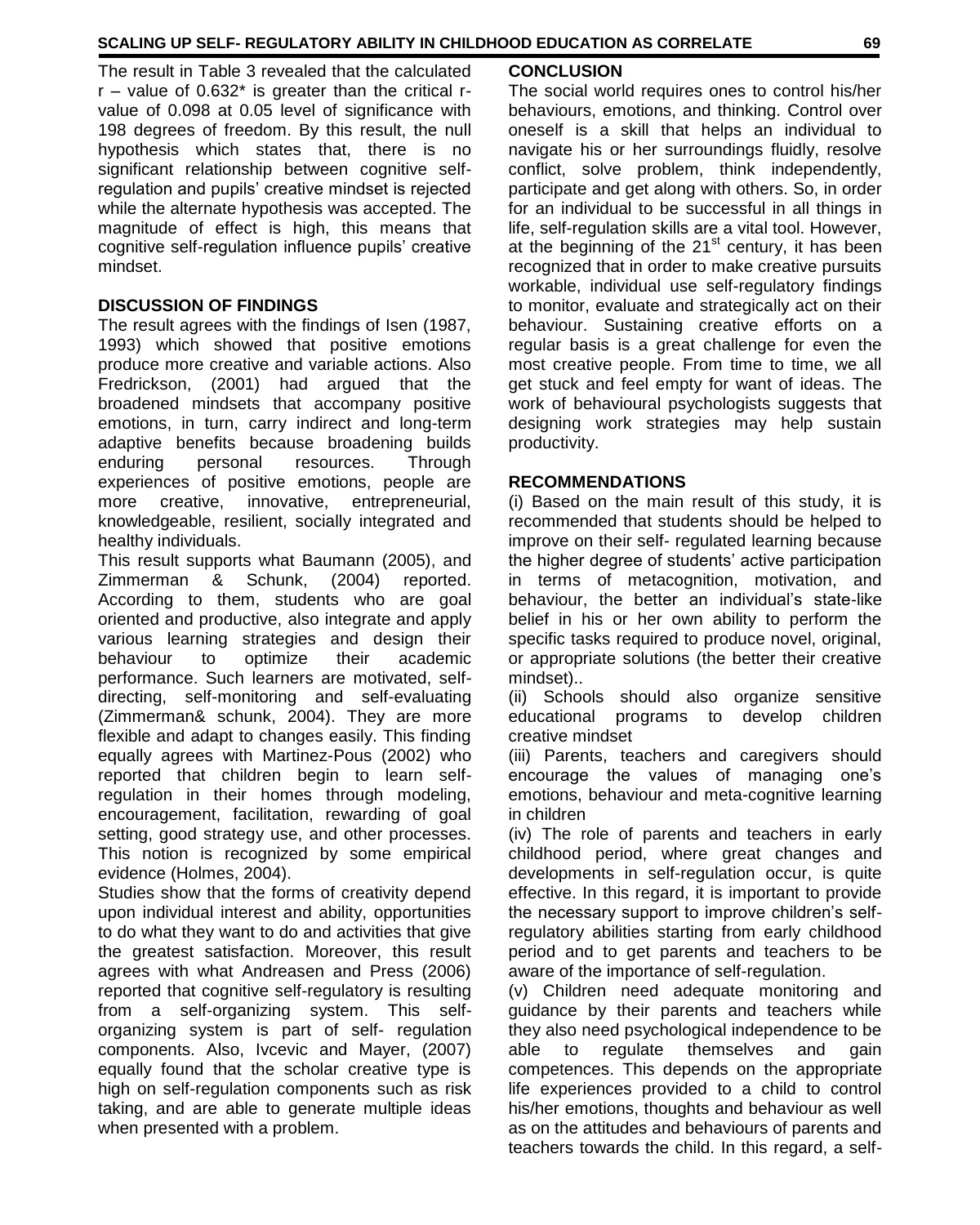The result in Table 3 revealed that the calculated  $r -$  value of 0.632 $*$  is greater than the critical  $r$ value of 0.098 at 0.05 level of significance with 198 degrees of freedom. By this result, the null hypothesis which states that, there is no significant relationship between cognitive selfregulation and pupils' creative mindset is rejected while the alternate hypothesis was accepted. The magnitude of effect is high, this means that cognitive self-regulation influence pupils' creative mindset.

# **DISCUSSION OF FINDINGS**

The result agrees with the findings of Isen (1987, 1993) which showed that positive emotions produce more creative and variable actions. Also Fredrickson, (2001) had argued that the broadened mindsets that accompany positive emotions, in turn, carry indirect and long-term adaptive benefits because broadening builds enduring personal resources. Through experiences of positive emotions, people are more creative, innovative, entrepreneurial, knowledgeable, resilient, socially integrated and healthy individuals.

This result supports what Baumann (2005), and Zimmerman & Schunk, (2004) reported. According to them, students who are goal oriented and productive, also integrate and apply various learning strategies and design their behaviour to optimize their academic performance. Such learners are motivated, selfdirecting, self-monitoring and self-evaluating (Zimmerman& schunk, 2004). They are more flexible and adapt to changes easily. This finding equally agrees with Martinez-Pous (2002) who reported that children begin to learn selfregulation in their homes through modeling, encouragement, facilitation, rewarding of goal setting, good strategy use, and other processes. This notion is recognized by some empirical evidence (Holmes, 2004).

Studies show that the forms of creativity depend upon individual interest and ability, opportunities to do what they want to do and activities that give the greatest satisfaction. Moreover, this result agrees with what Andreasen and Press (2006) reported that cognitive self-regulatory is resulting from a self-organizing system. This selforganizing system is part of self- regulation components. Also, Ivcevic and Mayer, (2007) equally found that the scholar creative type is high on self-regulation components such as risk taking, and are able to generate multiple ideas when presented with a problem.

### **CONCLUSION**

The social world requires ones to control his/her behaviours, emotions, and thinking. Control over oneself is a skill that helps an individual to navigate his or her surroundings fluidly, resolve conflict, solve problem, think independently, participate and get along with others. So, in order for an individual to be successful in all things in life, self-regulation skills are a vital tool. However, at the beginning of the  $21<sup>st</sup>$  century, it has been recognized that in order to make creative pursuits workable, individual use self-regulatory findings to monitor, evaluate and strategically act on their behaviour. Sustaining creative efforts on a regular basis is a great challenge for even the most creative people. From time to time, we all get stuck and feel empty for want of ideas. The work of behavioural psychologists suggests that designing work strategies may help sustain productivity.

#### **RECOMMENDATIONS**

(i) Based on the main result of this study, it is recommended that students should be helped to improve on their self- regulated learning because the higher degree of students' active participation in terms of metacognition, motivation, and behaviour, the better an individual's state-like belief in his or her own ability to perform the specific tasks required to produce novel, original, or appropriate solutions (the better their creative mindset)..

(ii) Schools should also organize sensitive educational programs to develop children creative mindset

(iii) Parents, teachers and caregivers should encourage the values of managing one's emotions, behaviour and meta-cognitive learning in children

(iv) The role of parents and teachers in early childhood period, where great changes and developments in self-regulation occur, is quite effective. In this regard, it is important to provide the necessary support to improve children's selfregulatory abilities starting from early childhood period and to get parents and teachers to be aware of the importance of self-regulation.

(v) Children need adequate monitoring and guidance by their parents and teachers while they also need psychological independence to be able to regulate themselves and gain competences. This depends on the appropriate life experiences provided to a child to control his/her emotions, thoughts and behaviour as well as on the attitudes and behaviours of parents and teachers towards the child. In this regard, a self-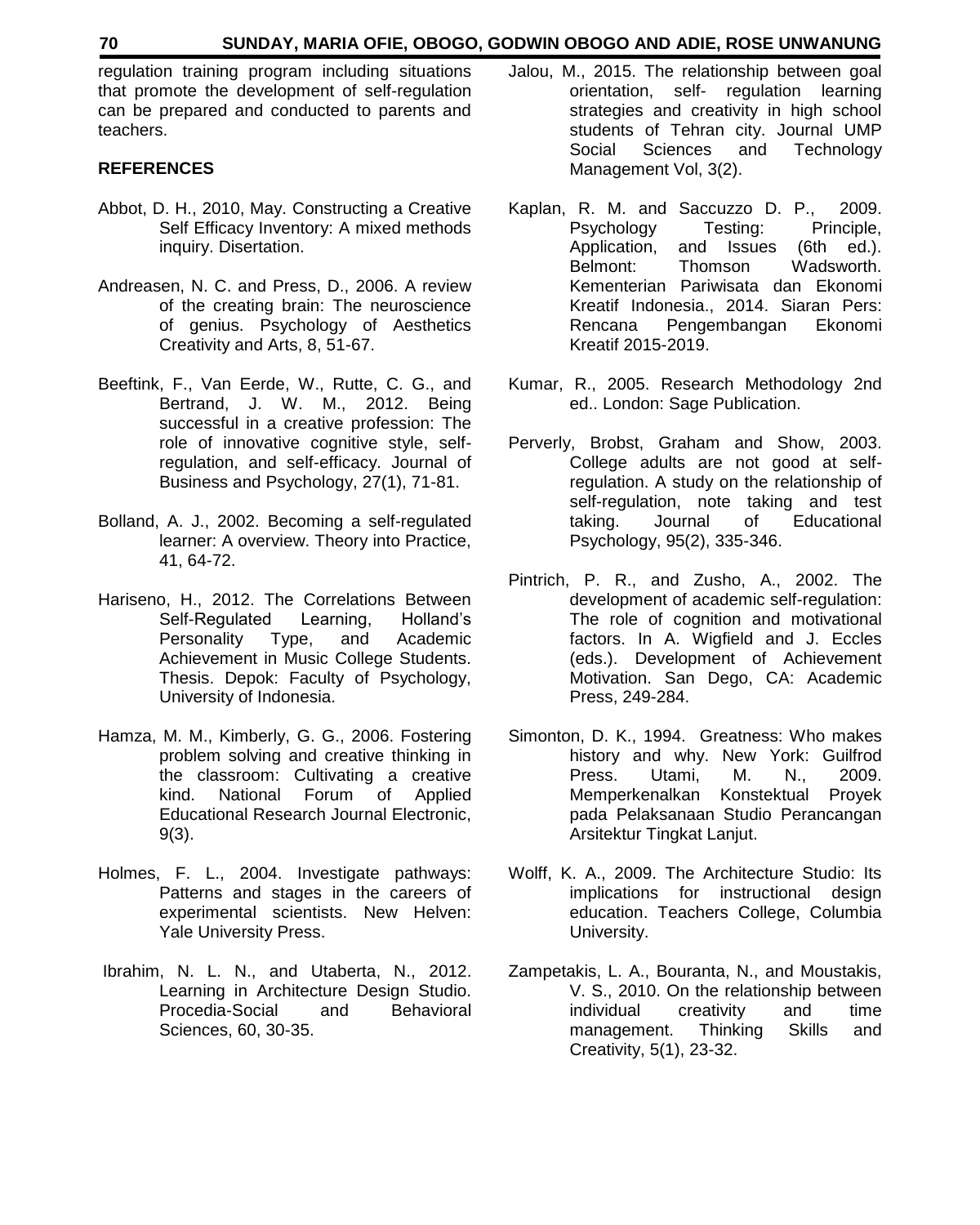#### **70 SUNDAY, MARIA OFIE, OBOGO, GODWIN OBOGO AND ADIE, ROSE UNWANUNG**

regulation training program including situations that promote the development of self-regulation can be prepared and conducted to parents and teachers.

### **REFERENCES**

- Abbot, D. H., 2010, May. Constructing a Creative Self Efficacy Inventory: A mixed methods inquiry. Disertation.
- Andreasen, N. C. and Press, D., 2006. A review of the creating brain: The neuroscience of genius. Psychology of Aesthetics Creativity and Arts, 8, 51-67.
- Beeftink, F., Van Eerde, W., Rutte, C. G., and Bertrand, J. W. M., 2012. Being successful in a creative profession: The role of innovative cognitive style, selfregulation, and self-efficacy. Journal of Business and Psychology, 27(1), 71-81.
- Bolland, A. J., 2002. Becoming a self-regulated learner: A overview. Theory into Practice, 41, 64-72.
- Hariseno, H., 2012. The Correlations Between Self-Regulated Learning, Holland's Personality Type, and Academic Achievement in Music College Students. Thesis. Depok: Faculty of Psychology, University of Indonesia.
- Hamza, M. M., Kimberly, G. G., 2006. Fostering problem solving and creative thinking in the classroom: Cultivating a creative kind. National Forum of Applied Educational Research Journal Electronic, 9(3).
- Holmes, F. L., 2004. Investigate pathways: Patterns and stages in the careers of experimental scientists. New Helven: Yale University Press.
- Ibrahim, N. L. N., and Utaberta, N., 2012. Learning in Architecture Design Studio. Procedia-Social and Behavioral Sciences, 60, 30-35.
- Jalou, M., 2015. The relationship between goal orientation, self- regulation learning strategies and creativity in high school students of Tehran city. Journal UMP Social Sciences and Technology Management Vol, 3(2).
- Kaplan, R. M. and Saccuzzo D. P., 2009. Psychology Testing: Principle, Application, and Issues (6th ed.). Belmont: Thomson Wadsworth. Kementerian Pariwisata dan Ekonomi Kreatif Indonesia., 2014. Siaran Pers: Rencana Pengembangan Ekonomi Kreatif 2015-2019.
- Kumar, R., 2005. Research Methodology 2nd ed.. London: Sage Publication.
- Perverly, Brobst, Graham and Show, 2003. College adults are not good at selfregulation. A study on the relationship of self-regulation, note taking and test taking. Journal of Educational Psychology, 95(2), 335-346.
- Pintrich, P. R., and Zusho, A., 2002. The development of academic self-regulation: The role of cognition and motivational factors. In A. Wigfield and J. Eccles (eds.). Development of Achievement Motivation. San Dego, CA: Academic Press, 249-284.
- Simonton, D. K., 1994. Greatness: Who makes history and why. New York: Guilfrod Press. Utami, M. N., 2009. Memperkenalkan Konstektual Proyek pada Pelaksanaan Studio Perancangan Arsitektur Tingkat Lanjut.
- Wolff, K. A., 2009. The Architecture Studio: Its implications for instructional design education. Teachers College, Columbia University.
- Zampetakis, L. A., Bouranta, N., and Moustakis, V. S., 2010. On the relationship between individual creativity and time management. Thinking Skills and Creativity, 5(1), 23-32.